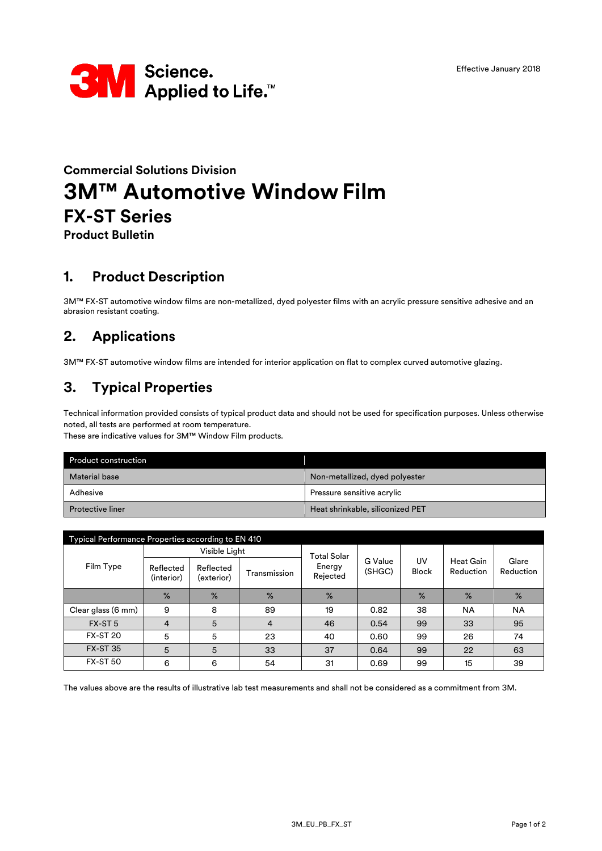

# **Commercial Solutions Division 3M™ Automotive Window Film FX-ST Series**

**Product Bulletin**

### **1. Product Description**

3M™ FX-ST automotive window films are non-metallized, dyed polyester films with an acrylic pressure sensitive adhesive and an abrasion resistant coating.

# **2. Applications**

3M™ FX-ST automotive window films are intended for interior application on flat to complex curved automotive glazing.

### **3. Typical Properties**

Technical information provided consists of typical product data and should not be used for specification purposes. Unless otherwise noted, all tests are performed at room temperature.

These are indicative values for 3M™ Window Film products.

| <b>Product construction</b> |                                  |
|-----------------------------|----------------------------------|
| <b>Material base</b>        | Non-metallized, dyed polyester   |
| Adhesive                    | Pressure sensitive acrylic       |
| <b>Protective liner</b>     | Heat shrinkable, siliconized PET |

| Typical Performance Properties according to EN 410 |                         |                         |                |                    |                   |                    |                               |                    |
|----------------------------------------------------|-------------------------|-------------------------|----------------|--------------------|-------------------|--------------------|-------------------------------|--------------------|
|                                                    |                         | Visible Light           |                | <b>Total Solar</b> |                   |                    |                               |                    |
| Film Type                                          | Reflected<br>(interior) | Reflected<br>(exterior) | Transmission   | Energy<br>Rejected | G Value<br>(SHGC) | UV<br><b>Block</b> | <b>Heat Gain</b><br>Reduction | Glare<br>Reduction |
|                                                    | $\%$                    | $\%$                    | $\%$           | $\frac{9}{6}$      |                   | $\%$               | $\%$                          | $\%$               |
| Clear glass (6 mm)                                 | 9                       | 8                       | 89             | 19                 | 0.82              | 38                 | <b>NA</b>                     | <b>NA</b>          |
| FX-ST <sub>5</sub>                                 | 4                       | 5                       | $\overline{4}$ | 46                 | 0.54              | 99                 | 33                            | 95                 |
| <b>FX-ST 20</b>                                    | 5                       | 5                       | 23             | 40                 | 0.60              | 99                 | 26                            | 74                 |
| <b>FX-ST 35</b>                                    | 5                       | 5                       | 33             | 37                 | 0.64              | 99                 | 22                            | 63                 |
| <b>FX-ST 50</b>                                    | 6                       | 6                       | 54             | 31                 | 0.69              | 99                 | 15                            | 39                 |

The values above are the results of illustrative lab test measurements and shall not be considered as a commitment from 3M.